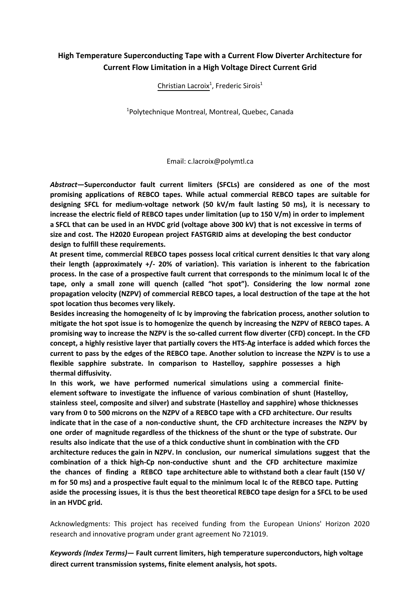## **High Temperature Superconducting Tape with a Current Flow Diverter Architecture for Current Flow Limitation in a High Voltage Direct Current Grid**

Christian Lacroix<sup>1</sup>, Frederic Sirois<sup>1</sup>

<sup>1</sup>Polytechnique Montreal, Montreal, Quebec, Canada

Email: c.lacroix@polymtl.ca

*Abstract***—Superconductor fault current limiters (SFCLs) are considered as one of the most promising applications of REBCO tapes. While actual commercial REBCO tapes are suitable for designing SFCL for medium-voltage network (50 kV/m fault lasting 50 ms), it is necessary to increase the electric field of REBCO tapes under limitation (up to 150 V/m) in order to implement a SFCL that can be used in an HVDC grid (voltage above 300 kV) that is not excessive in terms of size and cost. The H2020 European project FASTGRID aims at developing the best conductor design to fulfill these requirements.** 

**At present time, commercial REBCO tapes possess local critical current densities Ic that vary along their length (approximately +/- 20% of variation). This variation is inherent to the fabrication process. In the case of a prospective fault current that corresponds to the minimum local Ic of the tape, only a small zone will quench (called "hot spot"). Considering the low normal zone propagation velocity (NZPV) of commercial REBCO tapes, a local destruction of the tape at the hot spot location thus becomes very likely.** 

**Besides increasing the homogeneity of Ic by improving the fabrication process, another solution to mitigate the hot spot issue is to homogenize the quench by increasing the NZPV of REBCO tapes. A promising way to increase the NZPV is the so-called current flow diverter (CFD) concept. In the CFD concept, a highly resistive layer that partially covers the HTS-Ag interface is added which forces the current to pass by the edges of the REBCO tape. Another solution to increase the NZPV is to use a flexible sapphire substrate. In comparison to Hastelloy, sapphire possesses a high thermal diffusivity.** 

**In this work, we have performed numerical simulations using a commercial finiteelement software to investigate the influence of various combination of shunt (Hastelloy, stainless steel, composite and silver) and substrate (Hastelloy and sapphire) whose thicknesses vary from 0 to 500 microns on the NZPV of a REBCO tape with a CFD architecture. Our results indicate that in the case of a non-conductive shunt, the CFD architecture increases the NZPV by one order of magnitude regardless of the thickness of the shunt or the type of substrate. Our results also indicate that the use of a thick conductive shunt in combination with the CFD architecture reduces the gain in NZPV. In conclusion, our numerical simulations suggest that the combination of a thick high-Cp non-conductive shunt and the CFD architecture maximize the chances of finding a REBCO tape architecture able to withstand both a clear fault (150 V/ m for 50 ms) and a prospective fault equal to the minimum local Ic of the REBCO tape. Putting aside the processing issues, it is thus the best theoretical REBCO tape design for a SFCL to be used in an HVDC grid.** 

Acknowledgments: This project has received funding from the European Unions' Horizon 2020 research and innovative program under grant agreement No 721019.

*Keywords (Index Terms)***— Fault current limiters, high temperature superconductors, high voltage direct current transmission systems, finite element analysis, hot spots.**